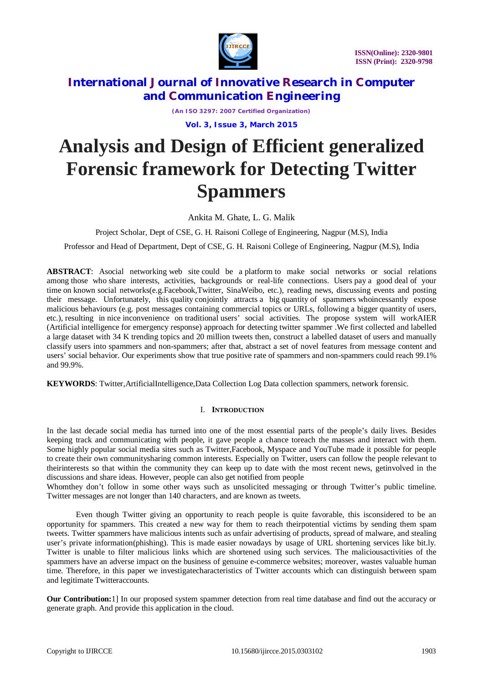

*(An ISO 3297: 2007 Certified Organization)*

**Vol. 3, Issue 3, March 2015**

# **Analysis and Design of Efficient generalized Forensic framework for Detecting Twitter Spammers**

Ankita M. Ghate, L. G. Malik

Project Scholar, Dept of CSE, G. H. Raisoni College of Engineering, Nagpur (M.S), India

Professor and Head of Department, Dept of CSE, G. H. Raisoni College of Engineering, Nagpur (M.S), India

**ABSTRACT**: Asocial networking web site could be a platform to make social networks or social relations among those who share interests, activities, backgrounds or real-life connections. Users pay a good deal of your time on known social networks(e.g.Facebook,Twitter, SinaWeibo, etc.), reading news, discussing events and posting their message. Unfortunately, this quality conjointly attracts a big quantity of spammers whoincessantly expose malicious behaviours (e.g. post messages containing commercial topics or URLs, following a bigger quantity of users, etc.), resulting in nice inconvenience on traditional users' social activities. The propose system will workAIER (Artificial intelligence for emergency response) approach for detecting twitter spammer .We first collected and labelled a large dataset with 34 K trending topics and 20 million tweets then, construct a labelled dataset of users and manually classify users into spammers and non-spammers; after that, abstract a set of novel features from message content and users' social behavior. Our experiments show that true positive rate of spammers and non-spammers could reach 99.1% and 99.9%.

**KEYWORDS**: Twitter,ArtificialIntelligence,Data Collection Log Data collection spammers, network forensic.

### I. **INTRODUCTION**

In the last decade social media has turned into one of the most essential parts of the people's daily lives. Besides keeping track and communicating with people, it gave people a chance toreach the masses and interact with them. Some highly popular social media sites such as Twitter,Facebook, Myspace and YouTube made it possible for people to create their own communitysharing common interests. Especially on Twitter, users can follow the people relevant to theirinterests so that within the community they can keep up to date with the most recent news, getinvolved in the discussions and share ideas. However, people can also get notified from people

Whomthey don't follow in some other ways such as unsolicited messaging or through Twitter's public timeline. Twitter messages are not longer than 140 characters, and are known as tweets.

Even though Twitter giving an opportunity to reach people is quite favorable, this isconsidered to be an opportunity for spammers. This created a new way for them to reach theirpotential victims by sending them spam tweets. Twitter spammers have malicious intents such as unfair advertising of products, spread of malware, and stealing user's private information(phishing). This is made easier nowadays by usage of URL shortening services like bit.ly. Twitter is unable to filter malicious links which are shortened using such services. The maliciousactivities of the spammers have an adverse impact on the business of genuine e-commerce websites; moreover, wastes valuable human time. Therefore, in this paper we investigatecharacteristics of Twitter accounts which can distinguish between spam and legitimate Twitteraccounts.

**Our Contribution:**1] In our proposed system spammer detection from real time database and find out the accuracy or generate graph. And provide this application in the cloud.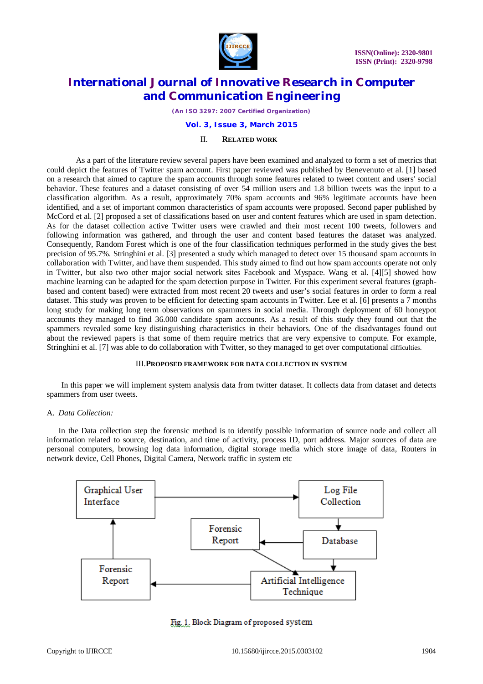

*(An ISO 3297: 2007 Certified Organization)*

### **Vol. 3, Issue 3, March 2015**

### II. **RELATED WORK**

As a part of the literature review several papers have been examined and analyzed to form a set of metrics that could depict the features of Twitter spam account. First paper reviewed was published by Benevenuto et al. [1] based on a research that aimed to capture the spam accounts through some features related to tweet content and users' social behavior. These features and a dataset consisting of over 54 million users and 1.8 billion tweets was the input to a classification algorithm. As a result, approximately 70% spam accounts and 96% legitimate accounts have been identified, and a set of important common characteristics of spam accounts were proposed. Second paper published by McCord et al. [2] proposed a set of classifications based on user and content features which are used in spam detection. As for the dataset collection active Twitter users were crawled and their most recent 100 tweets, followers and following information was gathered, and through the user and content based features the dataset was analyzed. Consequently, Random Forest which is one of the four classification techniques performed in the study gives the best precision of 95.7%. Stringhini et al. [3] presented a study which managed to detect over 15 thousand spam accounts in collaboration with Twitter, and have them suspended. This study aimed to find out how spam accounts operate not only in Twitter, but also two other major social network sites Facebook and Myspace. Wang et al. [4][5] showed how machine learning can be adapted for the spam detection purpose in Twitter. For this experiment several features (graphbased and content based) were extracted from most recent 20 tweets and user's social features in order to form a real dataset. This study was proven to be efficient for detecting spam accounts in Twitter. Lee et al. [6] presents a 7 months long study for making long term observations on spammers in social media. Through deployment of 60 honeypot accounts they managed to find 36.000 candidate spam accounts. As a result of this study they found out that the spammers revealed some key distinguishing characteristics in their behaviors. One of the disadvantages found out about the reviewed papers is that some of them require metrics that are very expensive to compute. For example, Stringhini et al. [7] was able to do collaboration with Twitter, so they managed to get over computational difficulties.

### III.**PROPOSED FRAMEWORK FOR DATA COLLECTION IN SYSTEM**

In this paper we will implement system analysis data from twitter dataset. It collects data from dataset and detects spammers from user tweets.

#### A. *Data Collection:*

In the Data collection step the forensic method is to identify possible information of source node and collect all information related to source, destination, and time of activity, process ID, port address. Major sources of data are personal computers, browsing log data information, digital storage media which store image of data, Routers in network device, Cell Phones, Digital Camera, Network traffic in system etc



Fig. 1. Block Diagram of proposed system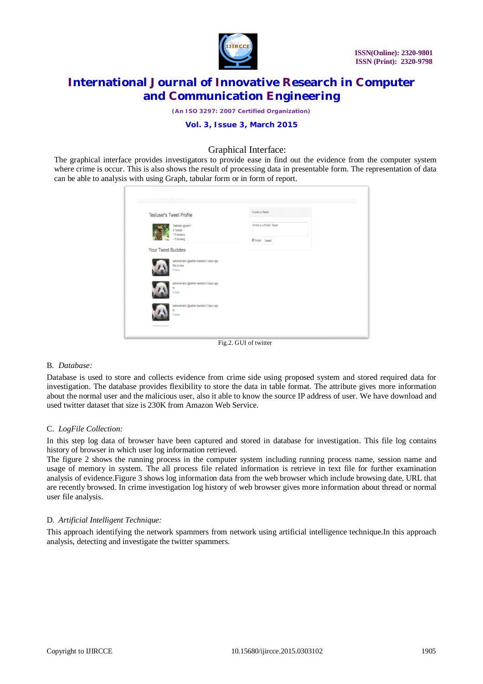

*(An ISO 3297: 2007 Certified Organization)*

## **Vol. 3, Issue 3, March 2015**

# Graphical Interface:

The graphical interface provides investigators to provide ease in find out the evidence from the computer system where crime is occur. This is also shows the result of processing data in presentable form. The representation of data can be able to analysis with using Graph, tabular form or in form of report.

| <b>Testuser's Tweet Profile</b>                                  | Create a Tweet                                      |
|------------------------------------------------------------------|-----------------------------------------------------|
| Testuser @user1<br>4 Tweets<br>1 Followers<br>1 Following        | Hi this is a Public Tweet<br><b>Z</b> Public Tweet! |
| Your Tweet Buddies                                               |                                                     |
| administrator @admin tweeted 5 days ago<br>this is new<br>Follow |                                                     |
| administrator @admin tweeted 5 days ago<br>hi<br>Follow          |                                                     |
| administrator @admin tweeted 5 days ago<br>hi<br>Follow          |                                                     |
|                                                                  |                                                     |

Fig.2. GUI of twitter

#### B. *Database:*

Database is used to store and collects evidence from crime side using proposed system and stored required data for investigation. The database provides flexibility to store the data in table format. The attribute gives more information about the normal user and the malicious user, also it able to know the source IP address of user. We have download and used twitter dataset that size is 230K from Amazon Web Service.

### C. *LogFile Collection:*

In this step log data of browser have been captured and stored in database for investigation. This file log contains history of browser in which user log information retrieved.

The figure 2 shows the running process in the computer system including running process name, session name and usage of memory in system. The all process file related information is retrieve in text file for further examination analysis of evidence.Figure 3 shows log information data from the web browser which include browsing date, URL that are recently browsed. In crime investigation log history of web browser gives more information about thread or normal user file analysis.

### D. *Artificial Intelligent Technique:*

This approach identifying the network spammers from network using artificial intelligence technique.In this approach analysis, detecting and investigate the twitter spammers.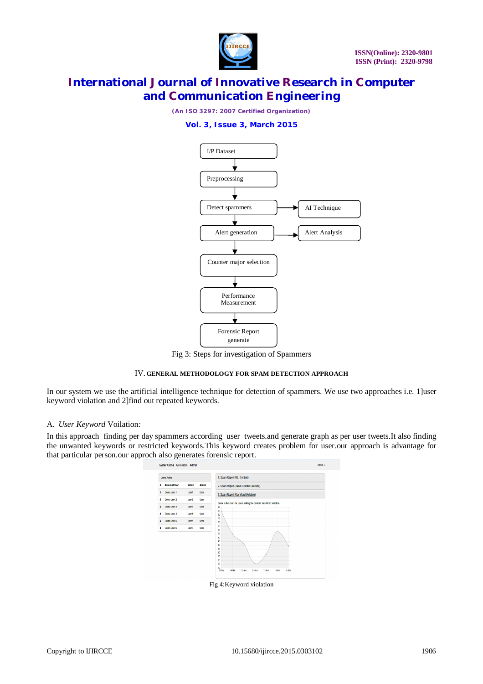

# *(An ISO 3297: 2007 Certified Organization)*

### **Vol. 3, Issue 3, March 2015**



Fig 3: Steps for investigation of Spammers

#### IV. **GENERAL METHODOLOGY FOR SPAM DETECTION APPROACH**

In our system we use the artificial intelligence technique for detection of spammers. We use two approaches i.e. 1]user keyword violation and 2]find out repeated keywords.

### A. *User Keyword* Voilation*:*

In this approach finding per day spammers according user tweets.and generate graph as per user tweets.It also finding the unwanted keywords or restricted keywords.This keyword creates problem for user.our approach is advantage for that particular person.our approch also generates forensic report.



Fig 4:Keyword violation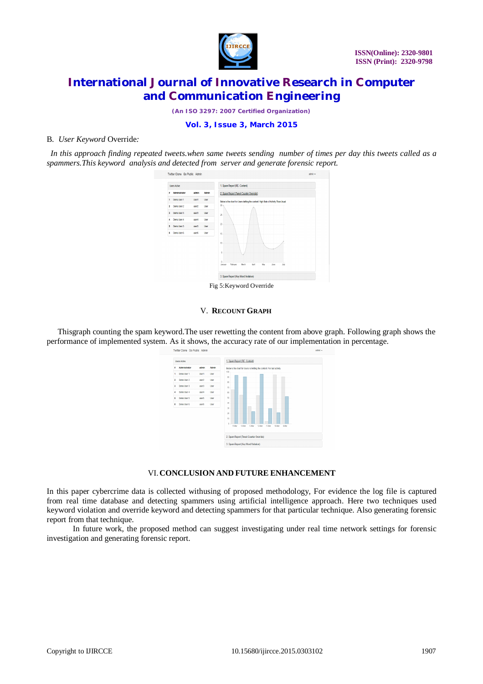

*(An ISO 3297: 2007 Certified Organization)*

**Vol. 3, Issue 3, March 2015**

### B. *User Keyword* Override*:*

 *In this approach finding repeated tweets.when same tweets sending number of times per day this tweets called as a spammers.This keyword analysis and detected from server and generate forensic report.*



#### V. **RECOUNT GRAPH**

Thisgraph counting the spam keyword.The user rewetting the content from above graph. Following graph shows the performance of implemented system. As it shows, the accuracy rate of our implementation in percentage.



### VI.**CONCLUSION AND FUTURE ENHANCEMENT**

In this paper cybercrime data is collected withusing of proposed methodology, For evidence the log file is captured from real time database and detecting spammers using artificial intelligence approach. Here two techniques used keyword violation and override keyword and detecting spammers for that particular technique. Also generating forensic report from that technique.

 In future work, the proposed method can suggest investigating under real time network settings for forensic investigation and generating forensic report.